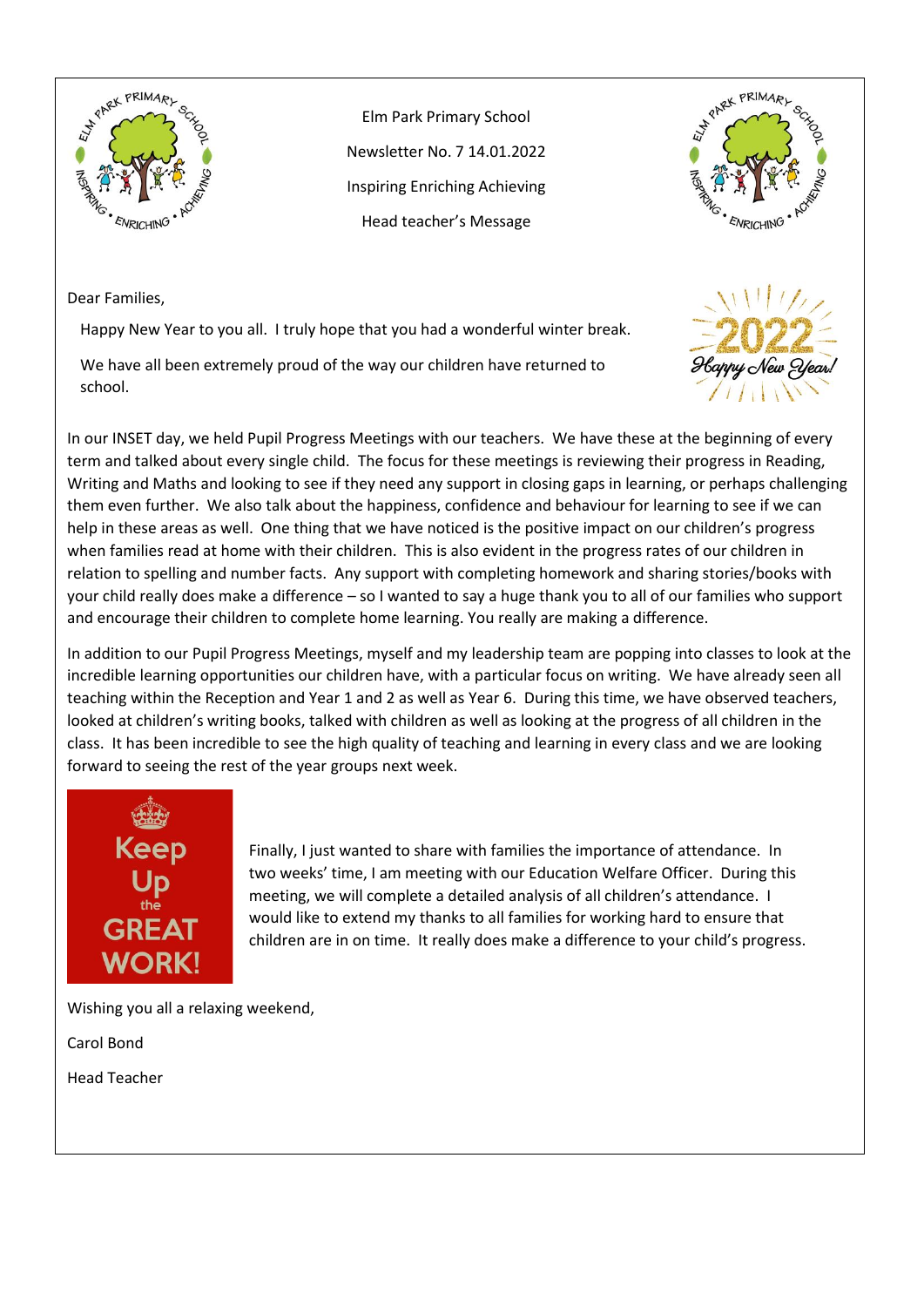

Elm Park Primary School Newsletter No. 7 14.01.2022 Inspiring Enriching Achieving Head teacher's Message



Dear Families,

Happy New Year to you all. I truly hope that you had a wonderful winter break.

We have all been extremely proud of the way our children have returned to school.



In our INSET day, we held Pupil Progress Meetings with our teachers. We have these at the beginning of every term and talked about every single child. The focus for these meetings is reviewing their progress in Reading, Writing and Maths and looking to see if they need any support in closing gaps in learning, or perhaps challenging them even further. We also talk about the happiness, confidence and behaviour for learning to see if we can help in these areas as well. One thing that we have noticed is the positive impact on our children's progress when families read at home with their children. This is also evident in the progress rates of our children in relation to spelling and number facts. Any support with completing homework and sharing stories/books with your child really does make a difference – so I wanted to say a huge thank you to all of our families who support and encourage their children to complete home learning. You really are making a difference.

In addition to our Pupil Progress Meetings, myself and my leadership team are popping into classes to look at the incredible learning opportunities our children have, with a particular focus on writing. We have already seen all teaching within the Reception and Year 1 and 2 as well as Year 6. During this time, we have observed teachers, looked at children's writing books, talked with children as well as looking at the progress of all children in the class. It has been incredible to see the high quality of teaching and learning in every class and we are looking forward to seeing the rest of the year groups next week.



Finally, I just wanted to share with families the importance of attendance. In two weeks' time, I am meeting with our Education Welfare Officer. During this meeting, we will complete a detailed analysis of all children's attendance. I would like to extend my thanks to all families for working hard to ensure that children are in on time. It really does make a difference to your child's progress.

Wishing you all a relaxing weekend,

Carol Bond

Head Teacher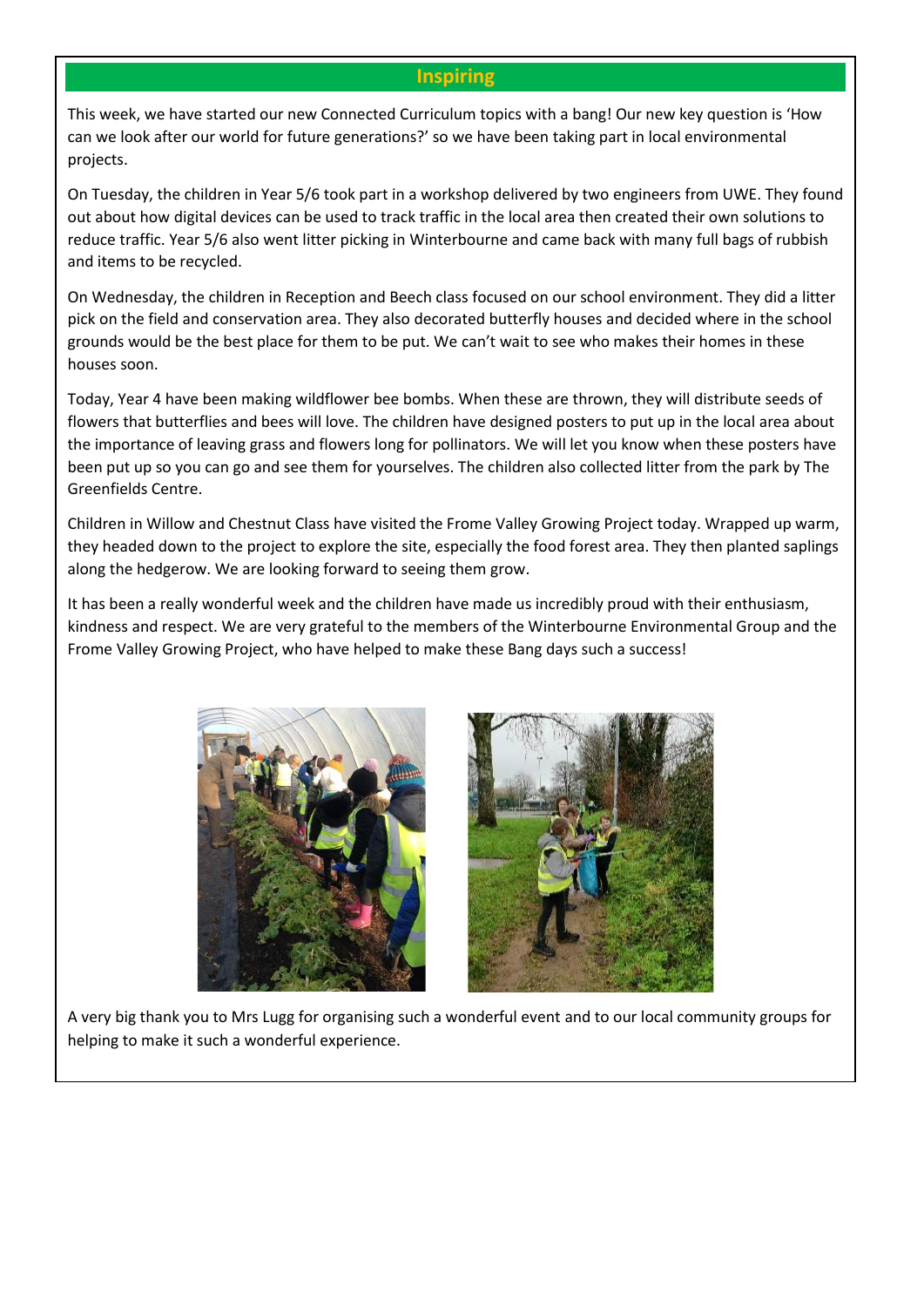#### **Inspiring**

This week, we have started our new Connected Curriculum topics with a bang! Our new key question is 'How can we look after our world for future generations?' so we have been taking part in local environmental projects.

On Tuesday, the children in Year 5/6 took part in a workshop delivered by two engineers from UWE. They found out about how digital devices can be used to track traffic in the local area then created their own solutions to reduce traffic. Year 5/6 also went litter picking in Winterbourne and came back with many full bags of rubbish and items to be recycled.

On Wednesday, the children in Reception and Beech class focused on our school environment. They did a litter pick on the field and conservation area. They also decorated butterfly houses and decided where in the school grounds would be the best place for them to be put. We can't wait to see who makes their homes in these houses soon.

Today, Year 4 have been making wildflower bee bombs. When these are thrown, they will distribute seeds of flowers that butterflies and bees will love. The children have designed posters to put up in the local area about the importance of leaving grass and flowers long for pollinators. We will let you know when these posters have been put up so you can go and see them for yourselves. The children also collected litter from the park by The Greenfields Centre.

Children in Willow and Chestnut Class have visited the Frome Valley Growing Project today. Wrapped up warm, they headed down to the project to explore the site, especially the food forest area. They then planted saplings along the hedgerow. We are looking forward to seeing them grow.

It has been a really wonderful week and the children have made us incredibly proud with their enthusiasm, kindness and respect. We are very grateful to the members of the Winterbourne Environmental Group and the Frome Valley Growing Project, who have helped to make these Bang days such a success!





A very big thank you to Mrs Lugg for organising such a wonderful event and to our local community groups for helping to make it such a wonderful experience.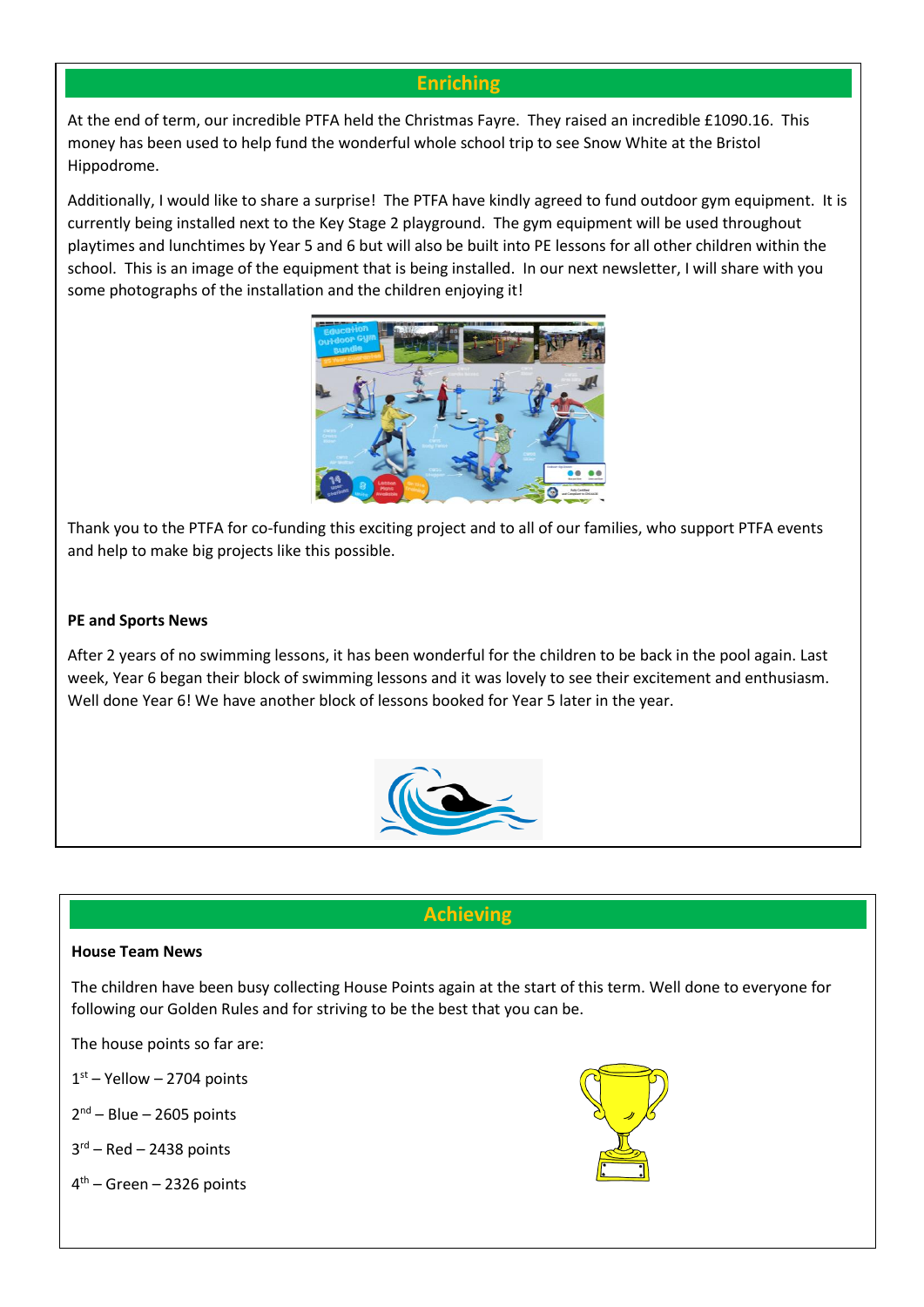# **Enriching**

At the end of term, our incredible PTFA held the Christmas Fayre. They raised an incredible £1090.16. This money has been used to help fund the wonderful whole school trip to see Snow White at the Bristol Hippodrome.

Additionally, I would like to share a surprise! The PTFA have kindly agreed to fund outdoor gym equipment. It is currently being installed next to the Key Stage 2 playground. The gym equipment will be used throughout playtimes and lunchtimes by Year 5 and 6 but will also be built into PE lessons for all other children within the school. This is an image of the equipment that is being installed. In our next newsletter, I will share with you some photographs of the installation and the children enjoying it!



Thank you to the PTFA for co-funding this exciting project and to all of our families, who support PTFA events and help to make big projects like this possible.

#### **PE and Sports News**

After 2 years of no swimming lessons, it has been wonderful for the children to be back in the pool again. Last week, Year 6 began their block of swimming lessons and it was lovely to see their excitement and enthusiasm. Well done Year 6! We have another block of lessons booked for Year 5 later in the year.



# **Achieving**

#### **House Team News**

The children have been busy collecting House Points again at the start of this term. Well done to everyone for following our Golden Rules and for striving to be the best that you can be.

The house points so far are:

 $1<sup>st</sup>$  – Yellow – 2704 points

2<sup>nd</sup> – Blue – 2605 points

3 rd – Red – 2438 points

4 th – Green – 2326 points